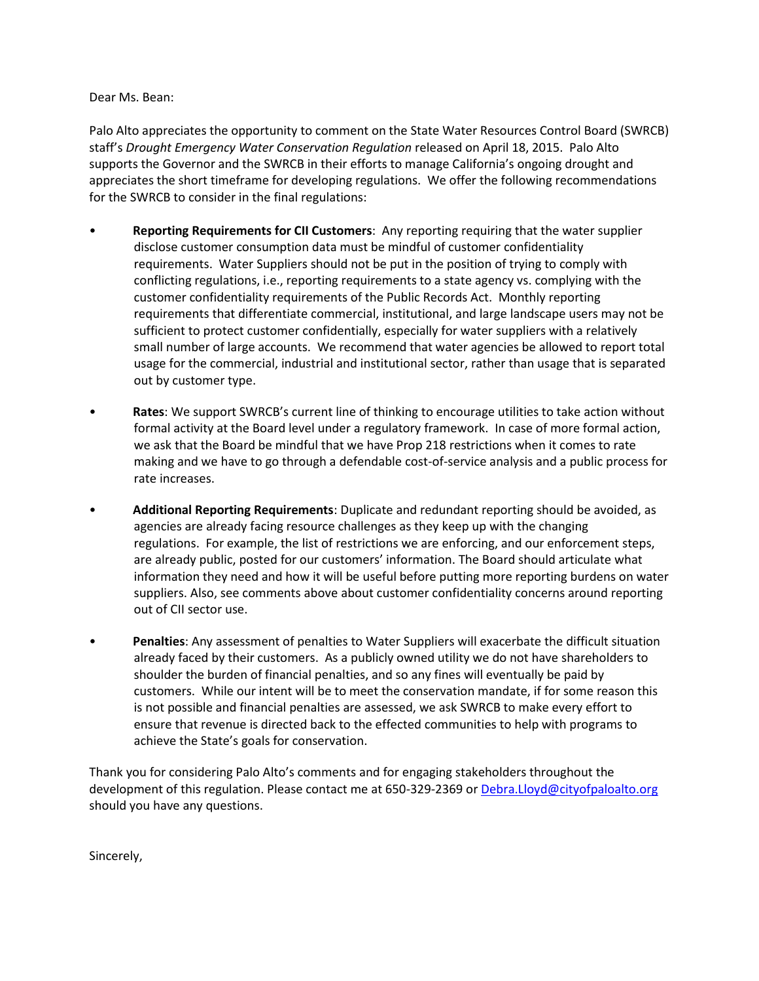## Dear Ms. Bean:

Palo Alto appreciates the opportunity to comment on the State Water Resources Control Board (SWRCB) staff's *Drought Emergency Water Conservation Regulation* released on April 18, 2015. Palo Alto supports the Governor and the SWRCB in their efforts to manage California's ongoing drought and appreciates the short timeframe for developing regulations. We offer the following recommendations for the SWRCB to consider in the final regulations:

- **Reporting Requirements for CII Customers**: Any reporting requiring that the water supplier disclose customer consumption data must be mindful of customer confidentiality requirements. Water Suppliers should not be put in the position of trying to comply with conflicting regulations, i.e., reporting requirements to a state agency vs. complying with the customer confidentiality requirements of the Public Records Act. Monthly reporting requirements that differentiate commercial, institutional, and large landscape users may not be sufficient to protect customer confidentially, especially for water suppliers with a relatively small number of large accounts. We recommend that water agencies be allowed to report total usage for the commercial, industrial and institutional sector, rather than usage that is separated out by customer type.
- **Rates**: We support SWRCB's current line of thinking to encourage utilities to take action without formal activity at the Board level under a regulatory framework. In case of more formal action, we ask that the Board be mindful that we have Prop 218 restrictions when it comes to rate making and we have to go through a defendable cost-of-service analysis and a public process for rate increases.
- **Additional Reporting Requirements**: Duplicate and redundant reporting should be avoided, as agencies are already facing resource challenges as they keep up with the changing regulations. For example, the list of restrictions we are enforcing, and our enforcement steps, are already public, posted for our customers' information. The Board should articulate what information they need and how it will be useful before putting more reporting burdens on water suppliers. Also, see comments above about customer confidentiality concerns around reporting out of CII sector use.
- **Penalties**: Any assessment of penalties to Water Suppliers will exacerbate the difficult situation already faced by their customers. As a publicly owned utility we do not have shareholders to shoulder the burden of financial penalties, and so any fines will eventually be paid by customers. While our intent will be to meet the conservation mandate, if for some reason this is not possible and financial penalties are assessed, we ask SWRCB to make every effort to ensure that revenue is directed back to the effected communities to help with programs to achieve the State's goals for conservation.

Thank you for considering Palo Alto's comments and for engaging stakeholders throughout the development of this regulation. Please contact me at 650-329-2369 or [Debra.Lloyd@cityofpaloalto.org](mailto:Debra.Lloyd@cityofpaloalto.org) should you have any questions.

Sincerely,